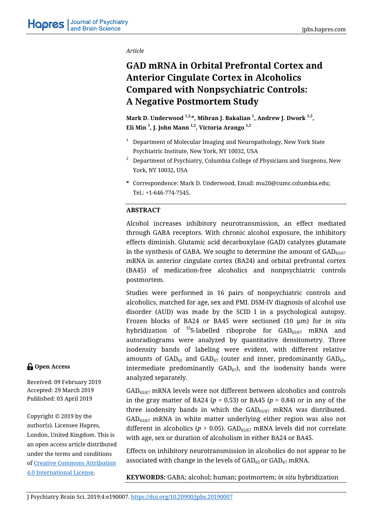*Article* 

# **GAD mRNA in Orbital Prefrontal Cortex and Anterior Cingulate Cortex in Alcoholics Compared with Nonpsychiatric Controls: A Negative Postmortem Study**

**Mark D. Underwood 1,2,\*, Mihran J. Bakalian 1 , Andrew J. Dwork 1,2, Eli Min <sup>1</sup> , J. John Mann 1,2, Victoria Arango 1,2**

- $1$  Department of Molecular Imaging and Neuropathology, New York State Psychiatric Institute, New York, NY 10032, USA
- $2^2$  Department of Psychiatry, Columbia College of Physicians and Surgeons, New York, NY 10032, USA
- **\*** Correspondence: Mark D. Underwood, Email: mu20@cumc.columbia.edu; Tel.: +1-646-774-7545.

## **ABSTRACT**

Alcohol increases inhibitory neurotransmission, an effect mediated through GABA receptors. With chronic alcohol exposure, the inhibitory effects diminish. Glutamic acid decarboxylase (GAD) catalyzes glutamate in the synthesis of GABA. We sought to determine the amount of  $GAD_{65/67}$ mRNA in anterior cingulate cortex (BA24) and orbital prefrontal cortex (BA45) of medication-free alcoholics and nonpsychiatric controls postmortem.

Studies were performed in 16 pairs of nonpsychiatric controls and alcoholics, matched for age, sex and PMI. DSM-IV diagnosis of alcohol use disorder (AUD) was made by the SCID I in a psychological autopsy. Frozen blocks of BA24 or BA45 were sectioned (10 µm) for *in situ* hybridization of  $35$ S-labelled riboprobe for  $GAD_{65/67}$  mRNA and autoradiograms were analyzed by quantitative densitometry. Three isodensity bands of labeling were evident, with different relative amounts of  $GAD_{65}$  and  $GAD_{67}$  (outer and inner, predominantly  $GAD_{65}$ , intermediate predominantly  $GAD_{67}$ , and the isodensity bands were analyzed separately.

GAD65/67 mRNA levels were not different between alcoholics and controls in the gray matter of BA24 (*p* = 0.53) or BA45 (*p* = 0.84) or in any of the three isodensity bands in which the  $GAD_{65/67}$  mRNA was distributed. GAD65/67 mRNA in white matter underlying either region was also not different in alcoholics ( $p > 0.05$ ). GAD<sub>65/67</sub> mRNA levels did not correlate with age, sex or duration of alcoholism in either BA24 or BA45.

Effects on inhibitory neurotransmission in alcoholics do not appear to be associated with change in the levels of  $GAD_{65}$  or  $GAD_{67}$  mRNA.

**KEYWORDS:** GABA; alcohol; human; postmortem; *in situ* hybridization

## **Open Access**

Received: 09 February 2019 Accepted: 29 March 2019 Published: 03 April 2019

Copyright © 2019 by the author(s). Licensee Hapres, London, United Kingdom. This is an open access article distributed under the terms and conditions [of Creative Commons Attribution](https://creativecommons.org/licenses/by/4.0/) 4.0 International License.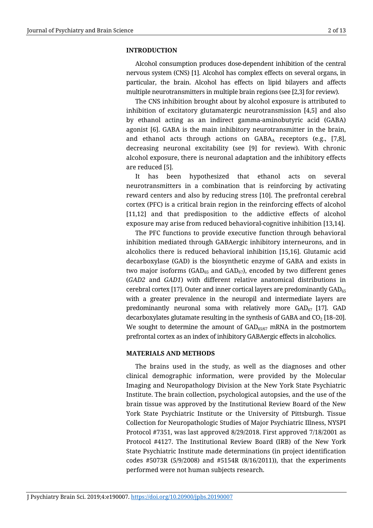#### **INTRODUCTION**

Alcohol consumption produces dose-dependent inhibition of the central nervous system (CNS) [1]. Alcohol has complex effects on several organs, in particular, the brain. Alcohol has effects on lipid bilayers and affects multiple neurotransmitters in multiple brain regions (see [2,3] for review).

The CNS inhibition brought about by alcohol exposure is attributed to inhibition of excitatory glutamatergic neurotransmission [4,5] and also by ethanol acting as an indirect gamma-aminobutyric acid (GABA) agonist [6]. GABA is the main inhibitory neurotransmitter in the brain, and ethanol acts through actions on  $GABA_A$  receptors (e.g., [7,8], decreasing neuronal excitability (see [9] for review). With chronic alcohol exposure, there is neuronal adaptation and the inhibitory effects are reduced [5].

It has been hypothesized that ethanol acts on several neurotransmitters in a combination that is reinforcing by activating reward centers and also by reducing stress [10]. The prefrontal cerebral cortex (PFC) is a critical brain region in the reinforcing effects of alcohol [11,12] and that predisposition to the addictive effects of alcohol exposure may arise from reduced behavioral-cognitive inhibition [13,14].

The PFC functions to provide executive function through behavioral inhibition mediated through GABAergic inhibitory interneurons, and in alcoholics there is reduced behavioral inhibition [15,16]. Glutamic acid decarboxylase (GAD) is the biosynthetic enzyme of GABA and exists in two major isoforms ( $GAD_{65}$  and  $GAD_{67}$ ), encoded by two different genes (*GAD2* and *GAD1*) with different relative anatomical distributions in cerebral cortex [17]. Outer and inner cortical layers are predominantly  $GAD_{65}$ with a greater prevalence in the neuropil and intermediate layers are predominantly neuronal soma with relatively more  $GAD_{67}$  [17]. GAD decarboxylates glutamate resulting in the synthesis of GABA and  $CO<sub>2</sub>$  [18–20]. We sought to determine the amount of  $GAD_{65/67}$  mRNA in the postmortem prefrontal cortex as an index of inhibitory GABAergic effects in alcoholics.

#### **MATERIALS AND METHODS**

The brains used in the study, as well as the diagnoses and other clinical demographic information, were provided by the Molecular Imaging and Neuropathology Division at the New York State Psychiatric Institute. The brain collection, psychological autopsies, and the use of the brain tissue was approved by the Institutional Review Board of the New York State Psychiatric Institute or the University of Pittsburgh. Tissue Collection for Neuropathologic Studies of Major Psychiatric Illness, NYSPI Protocol #7351, was last approved 8/29/2018. First approved 7/18/2001 as Protocol #4127. The Institutional Review Board (IRB) of the New York State Psychiatric Institute made determinations (in project identification codes #5073R (5/9/2008) and #5154R (8/16/2011)), that the experiments performed were not human subjects research.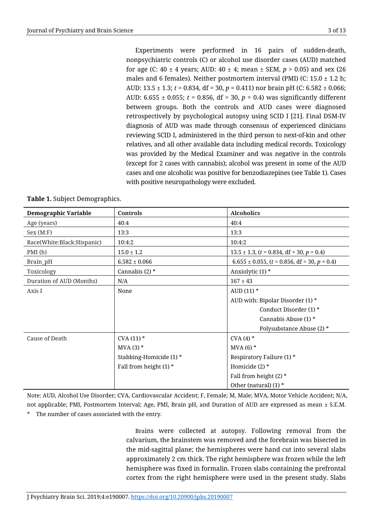Experiments were performed in 16 pairs of sudden-death, nonpsychiatric controls (C) or alcohol use disorder cases (AUD) matched for age (C: 40 ± 4 years; AUD: 40 ± 4; mean ± SEM, *p* > 0.05) and sex (26 males and 6 females). Neither postmortem interval (PMI) (C:  $15.0 \pm 1.2$  h; AUD: 13.5 ± 1.3; *t* = 0.834, df = 30, *p* = 0.411) nor brain pH (C: 6.582 ± 0.066; AUD: 6.655 ± 0.055; *t* = 0.856, df = 30, *p* = 0.4) was significantly different between groups. Both the controls and AUD cases were diagnosed retrospectively by psychological autopsy using SCID I [21]. Final DSM-IV diagnosis of AUD was made through consensus of experienced clinicians reviewing SCID I, administered in the third person to next-of-kin and other relatives, and all other available data including medical records. Toxicology was provided by the Medical Examiner and was negative in the controls (except for 2 cases with cannabis); alcohol was present in some of the AUD cases and one alcoholic was positive for benzodiazepines (see Table 1). Cases with positive neuropathology were excluded.

| <b>Demographic Variable</b> | Controls                 | <b>Alcoholics</b>                                   |
|-----------------------------|--------------------------|-----------------------------------------------------|
| Age (years)                 | 40:4                     | 40:4                                                |
| Sex (M: F)                  | 13:3                     | 13:3                                                |
| Race(White:Black:Hispanic)  | 10:4:2                   | 10:4:2                                              |
| PMI(h)                      | $15.0 \pm 1.2$           | $13.5 \pm 1.3$ , $(t = 0.834, df = 30, p = 0.4)$    |
| Brain_pH                    | $6.582 \pm 0.066$        | $6.655 \pm 0.055$ , $(t = 0.856, df = 30, p = 0.4)$ |
| Toxicology                  | Cannabis $(2)$ *         | Anxiolytic (1) *                                    |
| Duration of AUD (Months)    | N/A                      | $167 \pm 43$                                        |
| Axis I                      | None                     | AUD $(11)$ *                                        |
|                             |                          | AUD with: Bipolar Disorder (1) *                    |
|                             |                          | Conduct Disorder (1) *                              |
|                             |                          | Cannabis Abuse (1) *                                |
|                             |                          | Polysubstance Abuse (2) *                           |
| Cause of Death              | $CVA(11)$ *              | CVA(4)                                              |
|                             | $MVA(3)$ *               | $MVA(6)$ <sup>*</sup>                               |
|                             | Stabbing-Homicide (1) *  | Respiratory Failure (1) *                           |
|                             | Fall from height $(1)$ * | Homicide $(2)$ *                                    |
|                             |                          | Fall from height (2) $*$                            |
|                             |                          | Other (natural) $(1)$ *                             |

|  |  | Table 1. Subject Demographics. |
|--|--|--------------------------------|
|--|--|--------------------------------|

Note: AUD, Alcohol Use Disorder; CVA, Cardiovascular Accident; F, Female; M, Male; MVA, Motor Vehicle Accident; N/A, not applicable; PMI, Postmortem Interval; Age, PMI, Brain pH, and Duration of AUD are expressed as mean ± S.E.M. The number of cases associated with the entry.

> Brains were collected at autopsy. Following removal from the calvarium, the brainstem was removed and the forebrain was bisected in the mid-sagittal plane; the hemispheres were hand cut into several slabs approximately 2 cm thick. The right hemisphere was frozen while the left hemisphere was fixed in formalin. Frozen slabs containing the prefrontal cortex from the right hemisphere were used in the present study. Slabs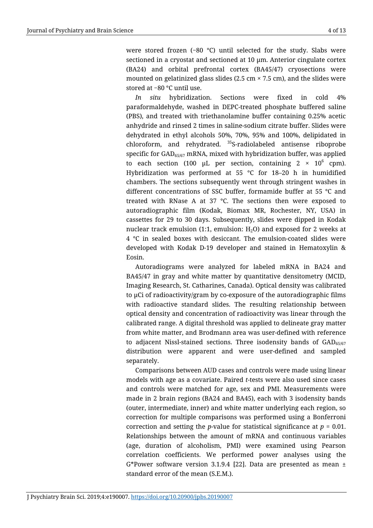were stored frozen (−80 °C) until selected for the study. Slabs were sectioned in a cryostat and sectioned at 10  $\mu$ m. Anterior cingulate cortex (BA24) and orbital prefrontal cortex (BA45/47) cryosections were mounted on gelatinized glass slides (2.5 cm  $\times$  7.5 cm), and the slides were stored at −80 °C until use.

*In situ* hybridization. Sections were fixed in cold 4% paraformaldehyde, washed in DEPC-treated phosphate buffered saline (PBS), and treated with triethanolamine buffer containing 0.25% acetic anhydride and rinsed 2 times in saline-sodium citrate buffer. Slides were dehydrated in ethyl alcohols 50%, 70%, 95% and 100%, delipidated in chloroform, and rehydrated. <sup>35</sup>S-radiolabeled antisense riboprobe specific for GAD65/67 mRNA, mixed with hybridization buffer, was applied to each section (100  $\mu$ L per section, containing 2 × 10 $^6$  cpm). Hybridization was performed at 55 °C for 18–20 h in humidified chambers. The sections subsequently went through stringent washes in different concentrations of SSC buffer, formamide buffer at 55 °C and treated with RNase A at 37 °C. The sections then were exposed to autoradiographic film (Kodak, Biomax MR, Rochester, NY, USA) in cassettes for 29 to 30 days. Subsequently, slides were dipped in Kodak nuclear track emulsion (1:1, emulsion:  $H_2O$ ) and exposed for 2 weeks at 4 °C in sealed boxes with desiccant. The emulsion-coated slides were developed with Kodak D-19 developer and stained in Hematoxylin & Eosin.

Autoradiograms were analyzed for labeled mRNA in BA24 and BA45/47 in gray and white matter by quantitative densitometry (MCID, Imaging Research, St. Catharines, Canada). Optical density was calibrated to µCi of radioactivity/gram by co-exposure of the autoradiographic films with radioactive standard slides. The resulting relationship between optical density and concentration of radioactivity was linear through the calibrated range. A digital threshold was applied to delineate gray matter from white matter, and Brodmann area was user-defined with reference to adjacent Nissl-stained sections. Three isodensity bands of  $GAD_{65/67}$ distribution were apparent and were user-defined and sampled separately.

Comparisons between AUD cases and controls were made using linear models with age as a covariate. Paired *t*-tests were also used since cases and controls were matched for age, sex and PMI. Measurements were made in 2 brain regions (BA24 and BA45), each with 3 isodensity bands (outer, intermediate, inner) and white matter underlying each region, so correction for multiple comparisons was performed using a Bonferroni correction and setting the *p*-value for statistical significance at *p* = 0.01. Relationships between the amount of mRNA and continuous variables (age, duration of alcoholism, PMI) were examined using Pearson correlation coefficients. We performed power analyses using the G\*Power software version 3.1.9.4 [22]. Data are presented as mean  $\pm$ standard error of the mean (S.E.M.).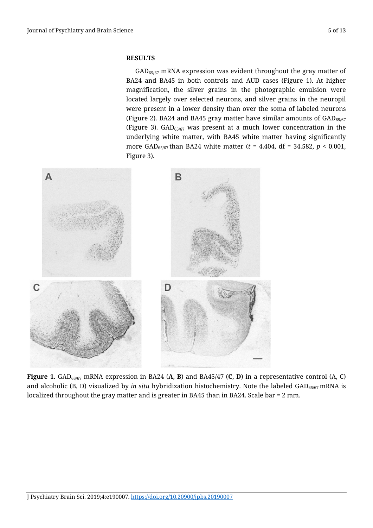## **RESULTS**

 $GAD_{65/67}$  mRNA expression was evident throughout the gray matter of BA24 and BA45 in both controls and AUD cases (Figure 1). At higher magnification, the silver grains in the photographic emulsion were located largely over selected neurons, and silver grains in the neuropil were present in a lower density than over the soma of labeled neurons (Figure 2). BA24 and BA45 gray matter have similar amounts of  $GAD_{65/67}$ (Figure 3).  $GAD_{65/67}$  was present at a much lower concentration in the underlying white matter, with BA45 white matter having significantly more GAD65/67 than BA24 white matter (*t* = 4.404, df = 34.582, *p* < 0.001, Figure 3).



**Figure 1.** GAD65/67 mRNA expression in BA24 (**A**, **B**) and BA45/47 (**C**, **D**) in a representative control (A, C) and alcoholic (B, D) visualized by *in situ* hybridization histochemistry. Note the labeled GAD<sub>65/67</sub> mRNA is localized throughout the gray matter and is greater in BA45 than in BA24. Scale bar = 2 mm.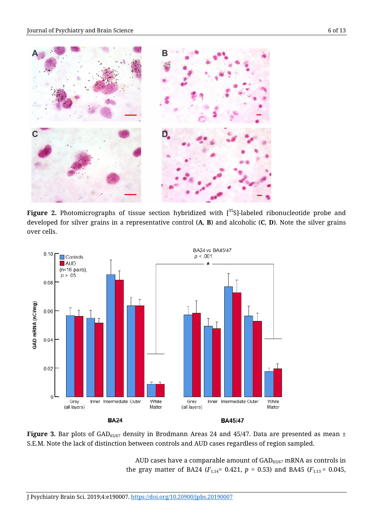

Figure 2. Photomicrographs of tissue section hybridized with [<sup>35</sup>S]-labeled ribonucleotide probe and developed for silver grains in a representative control (**A**, **B**) and alcoholic (**C**, **D**). Note the silver grains over cells.



Figure 3. Bar plots of GAD<sub>65/67</sub> density in Brodmann Areas 24 and 45/47. Data are presented as mean  $\pm$ S.E.M. Note the lack of distinction between controls and AUD cases regardless of region sampled.

AUD cases have a comparable amount of  $GAD_{65/67}$  mRNA as controls in the gray matter of BA24 ( $F_{1,14}$ = 0.421,  $p = 0.53$ ) and BA45 ( $F_{1,13}$  = 0.045,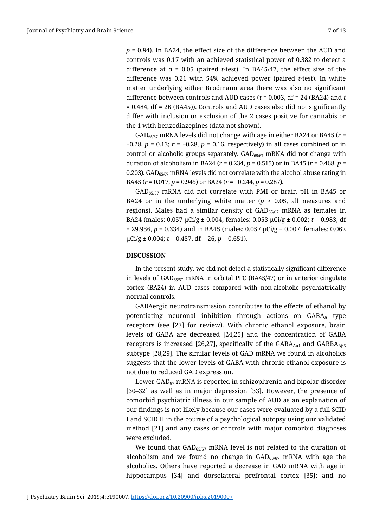*p* = 0.84). In BA24, the effect size of the difference between the AUD and controls was 0.17 with an achieved statistical power of 0.382 to detect a difference at  $\alpha$  = 0.05 (paired *t*-test). In BA45/47, the effect size of the difference was 0.21 with 54% achieved power (paired *t*-test). In white matter underlying either Brodmann area there was also no significant difference between controls and AUD cases (*t* = 0.003, df = 24 (BA24) and *t*  $= 0.484$ , df = 26 (BA45)). Controls and AUD cases also did not significantly differ with inclusion or exclusion of the 2 cases positive for cannabis or the 1 with benzodiazepines (data not shown).

GAD65/67 mRNA levels did not change with age in either BA24 or BA45 (*r* = −0.28, *p* = 0.13; *r* = −0.28, *p* = 0.16, respectively) in all cases combined or in control or alcoholic groups separately.  $GAD_{65/67}$  mRNA did not change with duration of alcoholism in BA24 (*r* = 0.234, *p* = 0.515) or in BA45 (*r* = 0.468, *p* = 0.203). GAD $_{65/67}$  mRNA levels did not correlate with the alcohol abuse rating in BA45 (*r* = 0.017, *p* = 0.945) or BA24 (*r* = −0.244, *p* = 0.287).

 $GAD_{65/67}$  mRNA did not correlate with PMI or brain pH in BA45 or BA24 or in the underlying white matter  $(p > 0.05,$  all measures and regions). Males had a similar density of  $GAD_{65/67}$  mRNA as females in BA24 (males: 0.057 µCi/g ± 0.004; females: 0.053 µCi/g ± 0.002; *t* = 0.983, df = 29.956, *p* = 0.334) and in BA45 (males: 0.057 µCi/g ± 0.007; females: 0.062  $\mu$ Ci/g  $\pm$  0.004; *t* = 0.457, df = 26, *p* = 0.651).

#### **DISCUSSION**

In the present study, we did not detect a statistically significant difference in levels of GAD65/67 mRNA in orbital PFC (BA45/47) or in anterior cingulate cortex (BA24) in AUD cases compared with non-alcoholic psychiatrically normal controls.

GABAergic neurotransmission contributes to the effects of ethanol by potentiating neuronal inhibition through actions on GABA type receptors (see [23] for review). With chronic ethanol exposure, brain levels of GABA are decreased [24,25] and the concentration of GABA receptors is increased [26,27], specifically of the  $GABA_{A01}$  and  $GABBAA_{B3}$ subtype [28,29]. The similar levels of GAD mRNA we found in alcoholics suggests that the lower levels of GABA with chronic ethanol exposure is not due to reduced GAD expression.

Lower  $GAD_{67}$  mRNA is reported in schizophrenia and bipolar disorder [30–32] as well as in major depression [33]. However, the presence of comorbid psychiatric illness in our sample of AUD as an explanation of our findings is not likely because our cases were evaluated by a full SCID I and SCID II in the course of a psychological autopsy using our validated method [21] and any cases or controls with major comorbid diagnoses were excluded.

We found that  $GAD_{65/67}$  mRNA level is not related to the duration of alcoholism and we found no change in  $GAD_{65/67}$  mRNA with age the alcoholics. Others have reported a decrease in GAD mRNA with age in hippocampus [34] and dorsolateral prefrontal cortex [35]; and no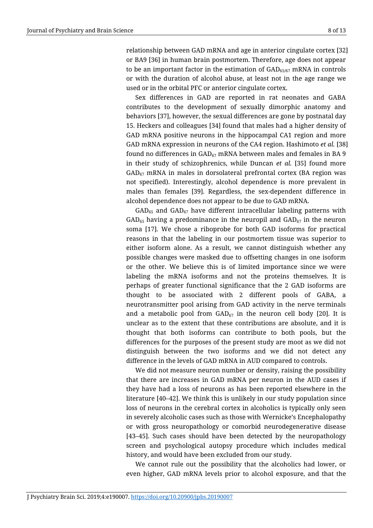relationship between GAD mRNA and age in anterior cingulate cortex [32] or BA9 [36] in human brain postmortem. Therefore, age does not appear to be an important factor in the estimation of  $GAD_{65/67}$  mRNA in controls or with the duration of alcohol abuse, at least not in the age range we used or in the orbital PFC or anterior cingulate cortex.

Sex differences in GAD are reported in rat neonates and GABA contributes to the development of sexually dimorphic anatomy and behaviors [37], however, the sexual differences are gone by postnatal day 15. Heckers and colleagues [34] found that males had a higher density of GAD mRNA positive neurons in the hippocampal CA1 region and more GAD mRNA expression in neurons of the CA4 region. Hashimoto *et al.* [38] found no differences in  $GAD_{67}$  mRNA between males and females in BA 9 in their study of schizophrenics, while Duncan *et al.* [35] found more  $GAD_{67}$  mRNA in males in dorsolateral prefrontal cortex (BA region was not specified). Interestingly, alcohol dependence is more prevalent in males than females [39]. Regardless, the sex-dependent difference in alcohol dependence does not appear to be due to GAD mRNA.

 $GAD_{65}$  and  $GAD_{67}$  have different intracellular labeling patterns with  $GAD_{65}$  having a predominance in the neuropil and  $GAD_{67}$  in the neuron soma [17]. We chose a riboprobe for both GAD isoforms for practical reasons in that the labeling in our postmortem tissue was superior to either isoform alone. As a result, we cannot distinguish whether any possible changes were masked due to offsetting changes in one isoform or the other. We believe this is of limited importance since we were labeling the mRNA isoforms and not the proteins themselves. It is perhaps of greater functional significance that the 2 GAD isoforms are thought to be associated with 2 different pools of GABA, a neurotransmitter pool arising from GAD activity in the nerve terminals and a metabolic pool from  $GAD_{67}$  in the neuron cell body [20]. It is unclear as to the extent that these contributions are absolute, and it is thought that both isoforms can contribute to both pools, but the differences for the purposes of the present study are moot as we did not distinguish between the two isoforms and we did not detect any difference in the levels of GAD mRNA in AUD compared to controls.

We did not measure neuron number or density, raising the possibility that there are increases in GAD mRNA per neuron in the AUD cases if they have had a loss of neurons as has been reported elsewhere in the literature [40–42]. We think this is unlikely in our study population since loss of neurons in the cerebral cortex in alcoholics is typically only seen in severely alcoholic cases such as those with Wernicke's Encephalopathy or with gross neuropathology or comorbid neurodegenerative disease [43–45]. Such cases should have been detected by the neuropathology screen and psychological autopsy procedure which includes medical history, and would have been excluded from our study.

We cannot rule out the possibility that the alcoholics had lower, or even higher, GAD mRNA levels prior to alcohol exposure, and that the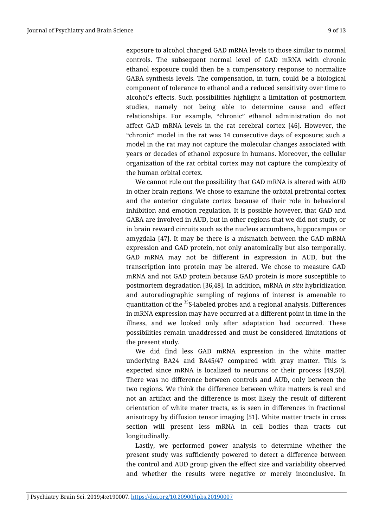exposure to alcohol changed GAD mRNA levels to those similar to normal controls. The subsequent normal level of GAD mRNA with chronic ethanol exposure could then be a compensatory response to normalize GABA synthesis levels. The compensation, in turn, could be a biological component of tolerance to ethanol and a reduced sensitivity over time to alcohol's effects. Such possibilities highlight a limitation of postmortem studies, namely not being able to determine cause and effect relationships. For example, "chronic" ethanol administration do not affect GAD mRNA levels in the rat cerebral cortex [46]. However, the "chronic" model in the rat was 14 consecutive days of exposure; such a model in the rat may not capture the molecular changes associated with years or decades of ethanol exposure in humans. Moreover, the cellular organization of the rat orbital cortex may not capture the complexity of the human orbital cortex.

We cannot rule out the possibility that GAD mRNA is altered with AUD in other brain regions. We chose to examine the orbital prefrontal cortex and the anterior cingulate cortex because of their role in behavioral inhibition and emotion regulation. It is possible however, that GAD and GABA are involved in AUD, but in other regions that we did not study, or in brain reward circuits such as the nucleus accumbens, hippocampus or amygdala [47]. It may be there is a mismatch between the GAD mRNA expression and GAD protein, not only anatomically but also temporally. GAD mRNA may not be different in expression in AUD, but the transcription into protein may be altered. We chose to measure GAD mRNA and not GAD protein because GAD protein is more susceptible to postmortem degradation [36,48]. In addition, mRNA *in situ* hybridization and autoradiographic sampling of regions of interest is amenable to quantitation of the <sup>35</sup>S-labeled probes and a regional analysis. Differences in mRNA expression may have occurred at a different point in time in the illness, and we looked only after adaptation had occurred. These possibilities remain unaddressed and must be considered limitations of the present study.

We did find less GAD mRNA expression in the white matter underlying BA24 and BA45/47 compared with gray matter. This is expected since mRNA is localized to neurons or their process [49,50]. There was no difference between controls and AUD, only between the two regions. We think the difference between white matters is real and not an artifact and the difference is most likely the result of different orientation of white mater tracts, as is seen in differences in fractional anisotropy by diffusion tensor imaging [51]. White matter tracts in cross section will present less mRNA in cell bodies than tracts cut longitudinally.

Lastly, we performed power analysis to determine whether the present study was sufficiently powered to detect a difference between the control and AUD group given the effect size and variability observed and whether the results were negative or merely inconclusive. In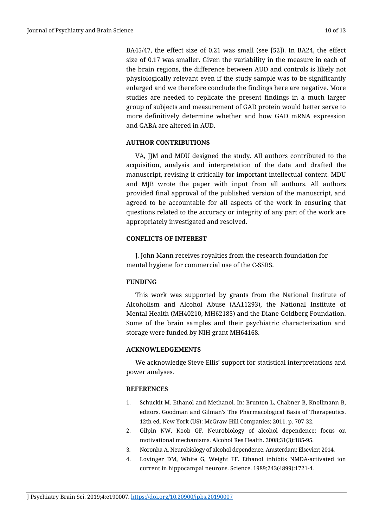BA45/47, the effect size of 0.21 was small (see [52]). In BA24, the effect size of 0.17 was smaller. Given the variability in the measure in each of the brain regions, the difference between AUD and controls is likely not physiologically relevant even if the study sample was to be significantly enlarged and we therefore conclude the findings here are negative. More studies are needed to replicate the present findings in a much larger group of subjects and measurement of GAD protein would better serve to more definitively determine whether and how GAD mRNA expression and GABA are altered in AUD.

### **AUTHOR CONTRIBUTIONS**

VA, JJM and MDU designed the study. All authors contributed to the acquisition, analysis and interpretation of the data and drafted the manuscript, revising it critically for important intellectual content. MDU and MJB wrote the paper with input from all authors. All authors provided final approval of the published version of the manuscript, and agreed to be accountable for all aspects of the work in ensuring that questions related to the accuracy or integrity of any part of the work are appropriately investigated and resolved.

## **CONFLICTS OF INTEREST**

J. John Mann receives royalties from the research foundation for mental hygiene for commercial use of the C-SSRS.

## **FUNDING**

This work was supported by grants from the National Institute of Alcoholism and Alcohol Abuse (AA11293), the National Institute of Mental Health (MH40210, MH62185) and the Diane Goldberg Foundation. Some of the brain samples and their psychiatric characterization and storage were funded by NIH grant MH64168.

## **ACKNOWLEDGEMENTS**

We acknowledge Steve Ellis' support for statistical interpretations and power analyses.

#### **REFERENCES**

- 1. Schuckit M. Ethanol and Methanol. In: Brunton L, Chabner B, Knollmann B, editors. Goodman and Gilman's The Pharmacological Basis of Therapeutics. 12th ed. New York (US): McGraw-Hill Companies; 2011. p. 707-32.
- 2. Gilpin NW, Koob GF. Neurobiology of alcohol dependence: focus on motivational mechanisms. Alcohol Res Health. 2008;31(3):185-95.
- 3. Noronha A. Neurobiology of alcohol dependence. Amsterdam: Elsevier; 2014.
- 4. Lovinger DM, White G, Weight FF. Ethanol inhibits NMDA-activated ion current in hippocampal neurons. Science. 1989;243(4899):1721-4.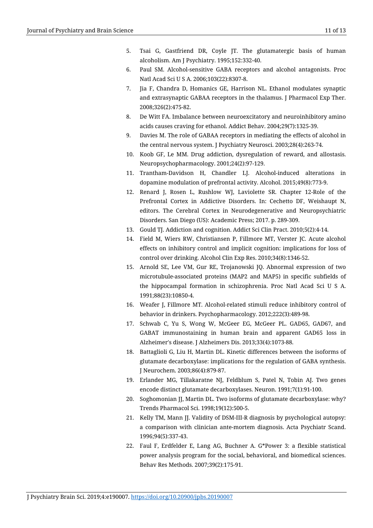- 5. Tsai G, Gastfriend DR, Coyle JT. The glutamatergic basis of human alcoholism. Am J Psychiatry. 1995;152:332-40.
- 6. Paul SM. Alcohol-sensitive GABA receptors and alcohol antagonists. Proc Natl Acad Sci U S A. 2006;103(22):8307-8.
- 7. Jia F, Chandra D, Homanics GE, Harrison NL. Ethanol modulates synaptic and extrasynaptic GABAA receptors in the thalamus. J Pharmacol Exp Ther. 2008;326(2):475-82.
- 8. De Witt FA. Imbalance between neuroexcitatory and neuroinhibitory amino acids causes craving for ethanol. Addict Behav. 2004;29(7):1325-39.
- 9. Davies M. The role of GABAA receptors in mediating the effects of alcohol in the central nervous system. J Psychiatry Neurosci. 2003;28(4):263-74.
- 10. Koob GF, Le MM. Drug addiction, dysregulation of reward, and allostasis. Neuropsychopharmacology. 2001;24(2):97-129.
- 11. Trantham-Davidson H, Chandler LJ. Alcohol-induced alterations in dopamine modulation of prefrontal activity. Alcohol. 2015;49(8):773-9.
- 12. Renard J, Rosen L, Rushlow WJ, Laviolette SR. Chapter 12-Role of the Prefrontal Cortex in Addictive Disorders. In: Cechetto DF, Weishaupt N, editors. The Cerebral Cortex in Neurodegenerative and Neuropsychiatric Disorders. San Diego (US): Academic Press; 2017. p. 289-309.
- 13. Gould TJ. Addiction and cognition. Addict Sci Clin Pract. 2010;5(2):4-14.
- 14. Field M, Wiers RW, Christiansen P, Fillmore MT, Verster JC. Acute alcohol effects on inhibitory control and implicit cognition: implications for loss of control over drinking. Alcohol Clin Exp Res. 2010;34(8):1346-52.
- 15. Arnold SE, Lee VM, Gur RE, Trojanowski JQ. Abnormal expression of two microtubule-associated proteins (MAP2 and MAP5) in specific subfields of the hippocampal formation in schizophrenia. Proc Natl Acad Sci U S A. 1991;88(23):10850-4.
- 16. Weafer J, Fillmore MT. Alcohol-related stimuli reduce inhibitory control of behavior in drinkers. Psychopharmacology. 2012;222(3):489-98.
- 17. Schwab C, Yu S, Wong W, McGeer EG, McGeer PL. GAD65, GAD67, and GABAT immunostaining in human brain and apparent GAD65 loss in Alzheimer's disease. J Alzheimers Dis. 2013;33(4):1073-88.
- 18. Battaglioli G, Liu H, Martin DL. Kinetic differences between the isoforms of glutamate decarboxylase: implications for the regulation of GABA synthesis. J Neurochem. 2003;86(4):879-87.
- 19. Erlander MG, Tillakaratne NJ, Feldblum S, Patel N, Tobin AJ. Two genes encode distinct glutamate decarboxylases. Neuron. 1991;7(1):91-100.
- 20. Soghomonian JJ, Martin DL. Two isoforms of glutamate decarboxylase: why? Trends Pharmacol Sci. 1998;19(12):500-5.
- 21. Kelly TM, Mann JJ. Validity of DSM-III-R diagnosis by psychological autopsy: a comparison with clinician ante-mortem diagnosis. Acta Psychiatr Scand. 1996;94(5):337-43.
- 22. Faul F, Erdfelder E, Lang AG, Buchner A. G\*Power 3: a flexible statistical power analysis program for the social, behavioral, and biomedical sciences. Behav Res Methods. 2007;39(2):175-91.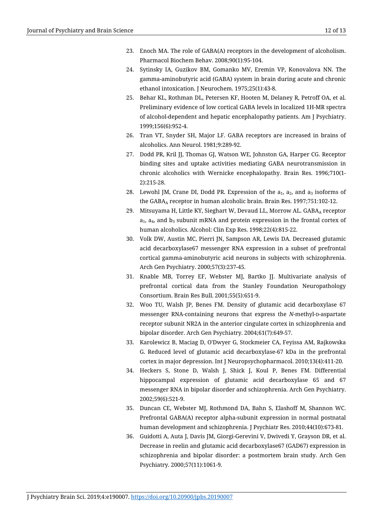- 23. Enoch MA. The role of GABA(A) receptors in the development of alcoholism. Pharmacol Biochem Behav. 2008;90(1):95-104.
- 24. Sytinsky IA, Guzikov BM, Gomanko MV, Eremin VP, Konovalova NN. The gamma-aminobutyric acid (GABA) system in brain during acute and chronic ethanol intoxication. J Neurochem. 1975;25(1):43-8.
- 25. Behar KL, Rothman DL, Petersen KF, Hooten M, Delaney R, Petroff OA, et al. Preliminary evidence of low cortical GABA levels in localized 1H-MR spectra of alcohol-dependent and hepatic encephalopathy patients. Am J Psychiatry. 1999;156(6):952-4.
- 26. Tran VT, Snyder SH, Major LF. GABA receptors are increased in brains of alcoholics. Ann Neurol. 1981;9:289-92.
- 27. Dodd PR, Kril JJ, Thomas GJ, Watson WE, Johnston GA, Harper CG. Receptor binding sites and uptake activities mediating GABA neurotransmission in chronic alcoholics with Wernicke encephalopathy. Brain Res. 1996;710(1- 2):215-28.
- 28. Lewohl JM, Crane DI, Dodd PR. Expression of the  $a_1$ ,  $a_2$ , and  $a_3$  isoforms of the  $GABA_A$  receptor in human alcoholic brain. Brain Res. 1997;751:102-12.
- 29. Mitsuyama H, Little KY, Sieghart W, Devaud LL, Morrow AL.  $GABA<sub>A</sub>$  receptor  $a_1$ ,  $a_4$ , and  $b_3$  subunit mRNA and protein expression in the frontal cortex of human alcoholics. Alcohol: Clin Exp Res. 1998;22(4):815-22.
- 30. Volk DW, Austin MC, Pierri JN, Sampson AR, Lewis DA. Decreased glutamic acid decarboxylase67 messenger RNA expression in a subset of prefrontal cortical gamma-aminobutyric acid neurons in subjects with schizophrenia. Arch Gen Psychiatry. 2000;57(3):237-45.
- 31. Knable MB, Torrey EF, Webster MJ, Bartko JJ. Multivariate analysis of prefrontal cortical data from the Stanley Foundation Neuropathology Consortium. Brain Res Bull. 2001;55(5):651-9.
- 32. Woo TU, Walsh JP, Benes FM. Density of glutamic acid decarboxylase 67 messenger RNA-containing neurons that express the *N*-methyl-D-aspartate receptor subunit NR2A in the anterior cingulate cortex in schizophrenia and bipolar disorder. Arch Gen Psychiatry. 2004;61(7):649-57.
- 33. Karolewicz B, Maciag D, O'Dwyer G, Stockmeier CA, Feyissa AM, Rajkowska G. Reduced level of glutamic acid decarboxylase-67 kDa in the prefrontal cortex in major depression. Int J Neuropsychopharmacol. 2010;13(4):411-20.
- 34. Heckers S, Stone D, Walsh J, Shick J, Koul P, Benes FM. Differential hippocampal expression of glutamic acid decarboxylase 65 and 67 messenger RNA in bipolar disorder and schizophrenia. Arch Gen Psychiatry. 2002;59(6):521-9.
- 35. Duncan CE, Webster MJ, Rothmond DA, Bahn S, Elashoff M, Shannon WC. Prefrontal GABA(A) receptor alpha-subunit expression in normal postnatal human development and schizophrenia. J Psychiatr Res. 2010;44(10):673-81.
- 36. Guidotti A, Auta J, Davis JM, Giorgi-Gerevini V, Dwivedi Y, Grayson DR, et al. Decrease in reelin and glutamic acid decarboxylase67 (GAD67) expression in schizophrenia and bipolar disorder: a postmortem brain study. Arch Gen Psychiatry. 2000;57(11):1061-9.